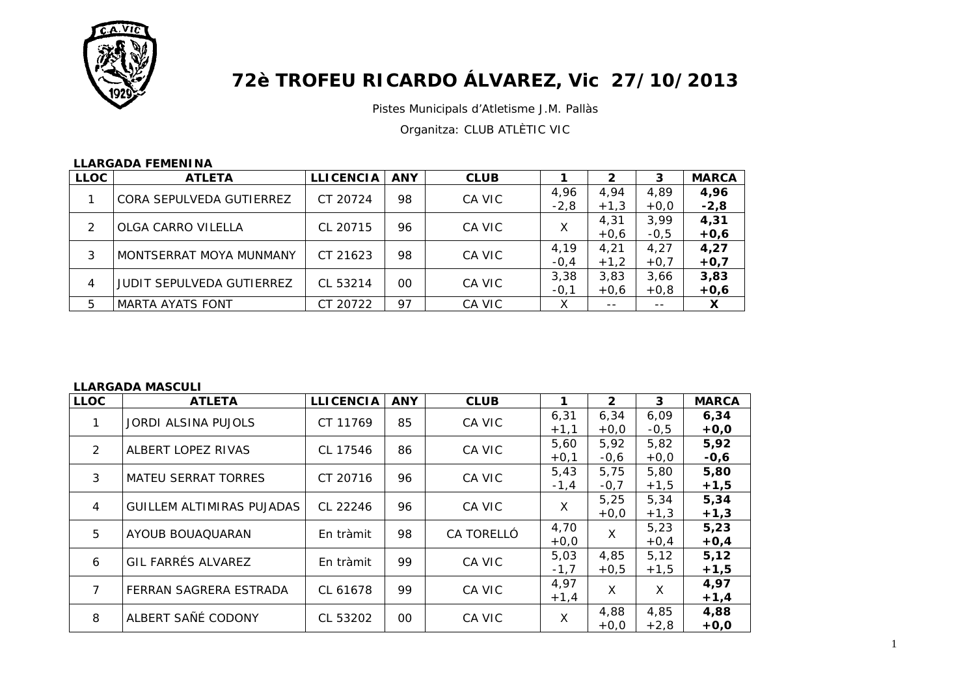

# **72è TROFEU RICARDO ÁLVAREZ, Vic 27/10/2013**

Pistes Municipals d'Atletisme J.M. Pallàs

Organitza: CLUB ATLÈTIC VIC

|             | LLARUADA FEMENTIVA               |                  |            |             |                |                |                |                |
|-------------|----------------------------------|------------------|------------|-------------|----------------|----------------|----------------|----------------|
| <b>LLOC</b> | <b>ATLETA</b>                    | <b>LLICENCIA</b> | <b>ANY</b> | <b>CLUB</b> |                |                | 3              | <b>MARCA</b>   |
|             | CORA SEPULVEDA GUTIERREZ         | CT 20724         | 98         | CA VIC      | 4.96<br>$-2,8$ | 4.94<br>$+1,3$ | 4.89<br>$+0,0$ | 4,96<br>$-2,8$ |
|             | OLGA CARRO VILELLA               | CL 20715         | 96         | CA VIC      |                | 4,31<br>$+0,6$ | 3,99<br>$-0,5$ | 4,31<br>$+0,6$ |
| 3           | MONTSERRAT MOYA MUNMANY          | CT 21623         | 98         | CA VIC      | 4.19<br>$-0,4$ | 4.21<br>$+1,2$ | 4.27<br>$+0,7$ | 4,27<br>$+0,7$ |
| 4           | <b>JUDIT SEPULVEDA GUTIERREZ</b> | CL 53214         | $00 \,$    | CA VIC      | 3,38<br>$-0,1$ | 3,83<br>$+0,6$ | 3,66<br>$+0,8$ | 3,83<br>$+0,6$ |
| 5           | <b>MARTA AYATS FONT</b>          | CT 20722         | 97         | CA VIC      | х              | $- -$          | $- -$          | X              |

# **LLARGADA FEMENINA**

#### **LLARGADA MASCULI**

| <b>LLOC</b>   | <b>ATLETA</b>                    | <b>LLICENCIA</b> | <b>ANY</b> | <b>CLUB</b> |        | $\mathbf{2}$ | 3      | <b>MARCA</b> |
|---------------|----------------------------------|------------------|------------|-------------|--------|--------------|--------|--------------|
|               | <b>JORDI ALSINA PUJOLS</b>       | CT 11769         | 85         | CA VIC      | 6,31   | 6,34         | 6,09   | 6,34         |
|               |                                  |                  |            |             | $+1,1$ | $+0,0$       | $-0,5$ | $+0,0$       |
| $\mathcal{P}$ | ALBERT LOPEZ RIVAS               | CL 17546         | 86         | CA VIC      | 5,60   | 5,92         | 5,82   | 5,92         |
|               |                                  |                  |            |             | $+0,1$ | $-0,6$       | $+0,0$ | $-0,6$       |
| 3             | <b>MATEU SERRAT TORRES</b>       | CT 20716         | 96         | CA VIC      | 5,43   | 5,75         | 5,80   | 5,80         |
|               |                                  |                  |            |             | $-1,4$ | $-0,7$       | $+1,5$ | $+1,5$       |
| 4             | <b>GUILLEM ALTIMIRAS PUJADAS</b> | CL 22246         | 96         | CA VIC      | X      | 5,25         | 5,34   | 5,34         |
|               |                                  |                  |            |             |        | $+0,0$       | $+1,3$ | $+1,3$       |
| 5             | AYOUB BOUAQUARAN                 | En tràmit        | 98         | CA TORELLÓ  | 4,70   | X            | 5,23   | 5,23         |
|               |                                  |                  |            |             | $+0,0$ |              | $+0,4$ | $+0,4$       |
|               | GIL FARRÉS ALVAREZ               |                  | 99         |             | 5,03   | 4,85         | 5,12   | 5,12         |
| 6             |                                  | En tràmit        |            | CA VIC      | $-1,7$ | $+0.5$       | $+1,5$ | $+1,5$       |
|               |                                  |                  |            |             | 4,97   |              |        | 4,97         |
| 7             | FERRAN SAGRERA ESTRADA           | CL 61678         | 99         | CA VIC      | $+1,4$ | X            | X      | $+1,4$       |
|               |                                  |                  |            |             |        | 4,88         | 4,85   | 4,88         |
| 8             | ALBERT SAÑÉ CODONY               | CL 53202         | 00         | CA VIC      | X      | $+0,0$       | $+2,8$ | $+0,0$       |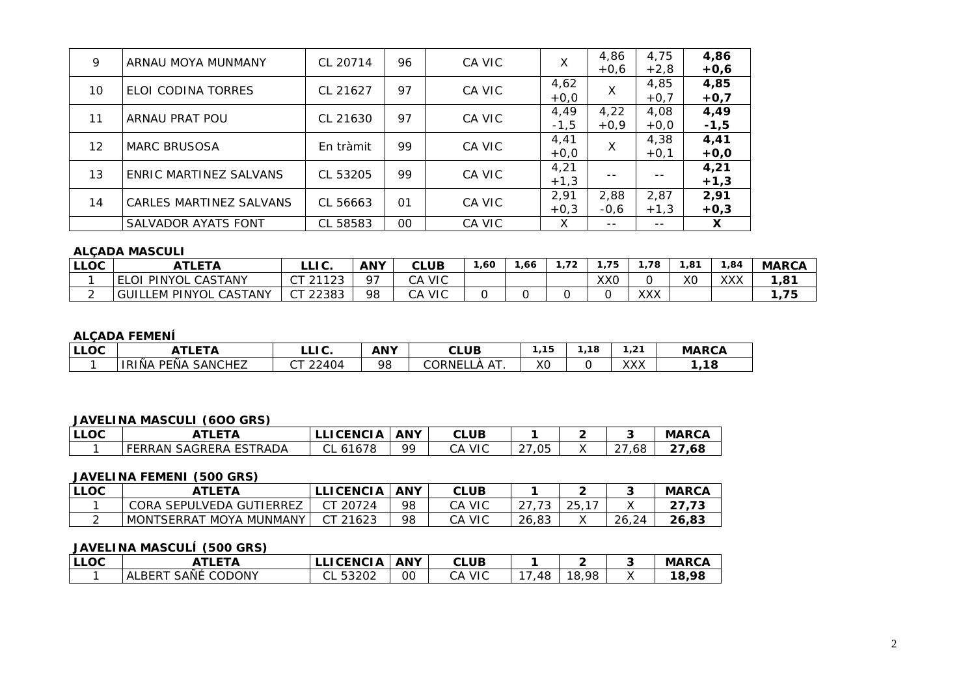| 9                 | ARNAU MOYA MUNMANY      | CL 20714  | 96 | CA VIC | X      | 4.86   | 4,75   | 4,86   |
|-------------------|-------------------------|-----------|----|--------|--------|--------|--------|--------|
|                   |                         |           |    |        |        | $+0,6$ | $+2,8$ | $+0,6$ |
| 10                | ELOI CODINA TORRES      | CL 21627  | 97 | CA VIC | 4,62   | X      | 4,85   | 4,85   |
|                   |                         |           |    |        | $+0,0$ |        | $+0,7$ | $+0,7$ |
| 11                | ARNAU PRAT POU          | CL 21630  | 97 | CA VIC | 4,49   | 4,22   | 4,08   | 4,49   |
|                   |                         |           |    |        | $-1,5$ | $+0,9$ | $+0,0$ | $-1,5$ |
| $12 \overline{ }$ |                         |           | 99 |        | 4,41   |        | 4,38   | 4,41   |
|                   | <b>MARC BRUSOSA</b>     | En tràmit |    | CA VIC | $+0,0$ | X      | $+0,1$ | $+0,0$ |
|                   | ENRIC MARTINEZ SALVANS  |           | 99 |        | 4,21   |        |        | 4,21   |
| 13                |                         | CL 53205  |    | CA VIC | $+1,3$ |        |        | $+1,3$ |
| 14                | CARLES MARTINEZ SALVANS | CL 56663  | 01 | CA VIC | 2,91   | 2.88   | 2,87   | 2,91   |
|                   |                         |           |    |        | $+0.3$ | $-0,6$ | $+1,3$ | $+0,3$ |
|                   | SALVADOR AYATS FONT     | CL 58583  | 00 | CA VIC | X      | $- -$  | $- -$  | X      |

#### **ALÇADA MASCULI**

| LLOC | <b>ETA</b>                               | $\sim$ 100 $\sim$<br>ᆸᇅᇇ.                | <b>ANY</b> | <b>CLUB</b>                         | ,60 | ,66 | $\overline{\phantom{a}}$<br>. | .75 | 1.78       | 81, | 1,84 | <b>MARCA</b> |
|------|------------------------------------------|------------------------------------------|------------|-------------------------------------|-----|-----|-------------------------------|-----|------------|-----|------|--------------|
|      | PINYOL<br><b>CASTANY</b><br><sup>O</sup> | 21122<br>$\sim$ $\sim$<br>ت کا<br>∠<br>◡ | O7         | $\sim$ $\sim$<br><b>VIC</b><br>◡▱   |     |     |                               | XXO |            | ХC  | ХХХ  | 101<br>. ہ   |
|      | CASTANY<br>LEM PINYOL<br>GUII            | 22383<br>$\sim$ $\pm$<br>ັ               | 98         | $\cap$ $\wedge$<br><b>VIC</b><br>◡┌ |     |     |                               |     | vvv<br>ᄉᄉᄉ |     |      | 75           |

# **ALÇADA FEMENÍ**

| $\cdots \sim$<br>ししいし | . <del>.</del><br>n                    | $\sim$<br>ㄴㄴ ㄴ.                           | <b>ANY</b>     | <b>CLUB</b>   | 15<br>. .        | $\sim$<br>. . | ີ<br>.             | <b>MARCA</b> |
|-----------------------|----------------------------------------|-------------------------------------------|----------------|---------------|------------------|---------------|--------------------|--------------|
|                       | . .<br>PEÑA<br><b>SANCHEZ</b><br>IRINA | $\mathcal{\lnot}$<br>104<br>$\sim$<br>74. | Q <sub>2</sub> | CORNEI<br>. – | $\sqrt{c}$<br>へし |               | $\sqrt{21}$<br>ᄾᄉᄉ | ,18          |

#### JAVELINA MASCULI (600 GRS)

| <b>LLOC</b> | FΤΔ                                  | <b>ICENCIA</b> | <b>ANY</b> | CLUB             |                             |     | <b>MARCA</b> |
|-------------|--------------------------------------|----------------|------------|------------------|-----------------------------|-----|--------------|
|             | SAGRERA ESTRADA<br><sup>-FRRAN</sup> | CL 61678       | QQ         | <b>VIC</b><br>СA | $\sim$ $\sim$<br>,05<br>، ے | 68, | ~-<br>68,    |

#### **JAVELINA FEMENI (500 GRS)**

| <b>LLOC</b> | ATI FTA                                                | <b>CENCIA</b> | <b>ANY</b> | <b>CLUB</b>      |                           |                    |       | <b>MARCA</b> |
|-------------|--------------------------------------------------------|---------------|------------|------------------|---------------------------|--------------------|-------|--------------|
|             | SEPULVEDA GUTIERREZ<br>CORA                            | 20724         | 98         | <b>VIC</b><br>СA | $\sim$ $\rightarrow$<br>ັ | つに<br>$\sim$<br>∠◡ |       | ں ،          |
|             | 、MUNMANY<br>TSFRRA <sup>-</sup><br><b>MONT</b><br>MOYA | 21623         | 98         | <b>VIC</b><br>СA | 26,83<br>つん               |                    | 26,24 | 26,83        |

# JAVELINA MASCULÍ (500 GRS)

| <b>LLOC</b> | <b>TLETA</b>                           | <b>LLICENCIA</b> | <b>ANY</b> | <b>CLUB</b>      |    |            | <b>MARCA</b> |
|-------------|----------------------------------------|------------------|------------|------------------|----|------------|--------------|
|             | SAÑÉ<br><b>CODONY</b><br><b>ALBERT</b> | 53202<br>◡∟      | OO         | <b>VIC</b><br>СA | 48 | .98<br>18. | 98,<br>18,   |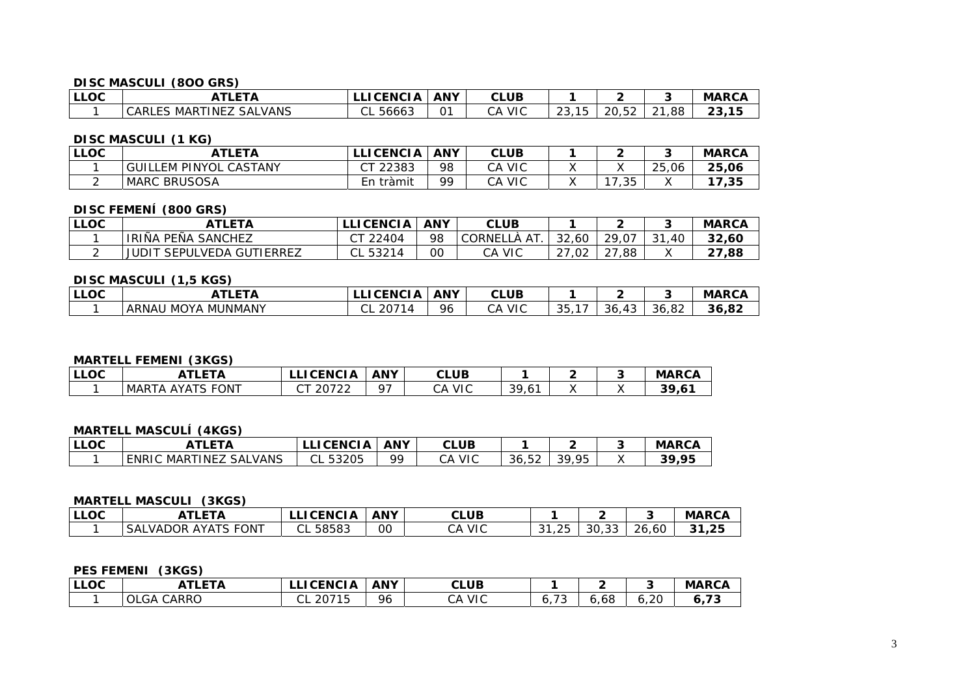#### **DISC MASCULI (8OO GRS)**

| <b>LLOC</b> | <b>\TLETA</b>                        | LICENCIA I  | <b>ANY</b> | <b>CLUB</b>      |   |                         |          | <b>MARCA</b> |
|-------------|--------------------------------------|-------------|------------|------------------|---|-------------------------|----------|--------------|
|             | SALVANS<br>MARTINEZ<br><b>CARLES</b> | 56663<br>◡∟ | $\bigcap$  | <b>VIC</b><br>CА | ້ | $\sim$<br>20.5<br>ZU.JZ | ,88<br>∸ | 23,15        |

#### **DISC MASCULI (1 KG)**

| LLOC | ATLETA                         | <b>LLICENCIA</b> | <b>ANY</b> | CLUB             |                            |       | <b>MARCA</b> |
|------|--------------------------------|------------------|------------|------------------|----------------------------|-------|--------------|
|      | PINYOL CASTANY<br>GUIL<br>LEM- | ~ㅜ<br>22383      | 98         | . VIC<br>CА      |                            | 25.06 | 25,06        |
|      | <b>MARC</b><br><b>BRUSOSA</b>  | tràmit ו<br>En   | oo         | <b>VIC</b><br>СA | つら<br>$\sim$ $\sim$<br>ں ب |       | 17,35        |

# **DISC FEMENÍ (800 GRS)**

| <b>LLOC</b> | ATLETA                      | LLICENCIA                                          | <b>ANY</b> | <b>CLUB</b>        |                      |                               |               | <b>MARCA</b> |
|-------------|-----------------------------|----------------------------------------------------|------------|--------------------|----------------------|-------------------------------|---------------|--------------|
|             | PEÑA SANCHEZ<br>IRIÑA       | CT 22404                                           | 98         | AT<br>CORNELL<br>А | 32,60                | 29.07                         | .40<br>$\sim$ | 32,60        |
|             | JUDI<br>SEPULVEDA GUTIERREZ | - 5?つ1<br>$\sim$<br>$\overline{a}$<br>ـا ب<br>ےں ت | 00         | CA VIC             | $\sim$ $\sim$<br>,02 | $\cap$ -<br>88,<br>$\epsilon$ |               | 27,88        |

#### **DISC MASCULI (1,5 KGS)**

| l LLOC | ---                                 | <b>ICENCI</b><br>- 73     | <b>ANY</b> | rι<br><b>CLUB</b> |                      |           |                           | <b>MARCA</b> |
|--------|-------------------------------------|---------------------------|------------|-------------------|----------------------|-----------|---------------------------|--------------|
|        | MUNMANY<br>RNAU<br>ר X<br>-MO<br>гw | ៱៲<br>2071<br>∘ ب ∠<br>◡∟ | 96         | <b>VIC</b><br>CА  | $\sim$ $\sim$<br>ັບບ | 36<br>— ⊶ | $\cap$<br>$\sim$<br>36.82 | 36,82        |

#### **MARTELL FEMENI (3KGS)**

| l LLOC | `TI FTA                          | <b>CENCIA</b>   | <b>ANY</b> | CLUB                   |                              |  | <b>MARCA</b> |
|--------|----------------------------------|-----------------|------------|------------------------|------------------------------|--|--------------|
|        | FONT<br><b>AYATS FO</b><br>MARTA | ∩רד∩ר<br>ے ≀ ∪∠ | ∩−         | <b>VIC</b><br>ົ^<br>J٣ | 30.<br>- 7<br>$\cdot$ $\cup$ |  | 20.<br>.∪    |

# **MARTELL MASCULÍ (4KGS)**

| LLOC | <sup>-</sup> LETA                             | <b>CENCIA</b><br>---  | <b>ANY</b> | <b>CLUB</b><br>$\sim$                |       |                                                 | <b>MARCA</b> |
|------|-----------------------------------------------|-----------------------|------------|--------------------------------------|-------|-------------------------------------------------|--------------|
|      | VANS <u>.</u><br>、MARTINE7<br>ENRIC<br>` SAL. | $\sim$<br>53205<br>◡∟ | ۵Q         | <b>VIC</b><br>$\sim$ $\sim$<br>. . μ | 36,52 | O <sub>5</sub><br>ςQ<br>ັ<br>, .,<br>$\epsilon$ | <b>30 OF</b> |

#### **MARTELL MASCULI (3KGS)**

| <b>LLOC</b> | LETA                                      | <b>CENCIA</b><br>-- - | <b>ANY</b> | CLUB             |              |                  |                       | <b>MARCA</b> |
|-------------|-------------------------------------------|-----------------------|------------|------------------|--------------|------------------|-----------------------|--------------|
|             | <b>FONT</b><br>.VADOR<br>ີ AYATລ<br>- SAL | 58583<br>◡∟           | 00         | <b>VIC</b><br>СΑ | つに<br>$\sim$ | $\sim$<br>ას, აა | $\sim$<br>26.<br>, OL | .25<br>21    |

#### **PES FEMENI (3KGS)**

| LLOC | ATLETA                      | <b>ICENCIA</b><br>--       | <b>ANY</b> | <b>CLUB</b>      |                                     |                                    |      | <b>MARCA</b>         |
|------|-----------------------------|----------------------------|------------|------------------|-------------------------------------|------------------------------------|------|----------------------|
|      | <b>CARRO</b><br><b>OLGA</b> | 20715<br>◡∟<br>. .<br>۔ ت∠ | 96         | <b>VIC</b><br>CА | $\overline{\phantom{0}}$<br>J.<br>. | $\overline{\phantom{0}}$<br>ಂ<br>ີ | 6.20 | $\sim$ $\sim$<br>. . |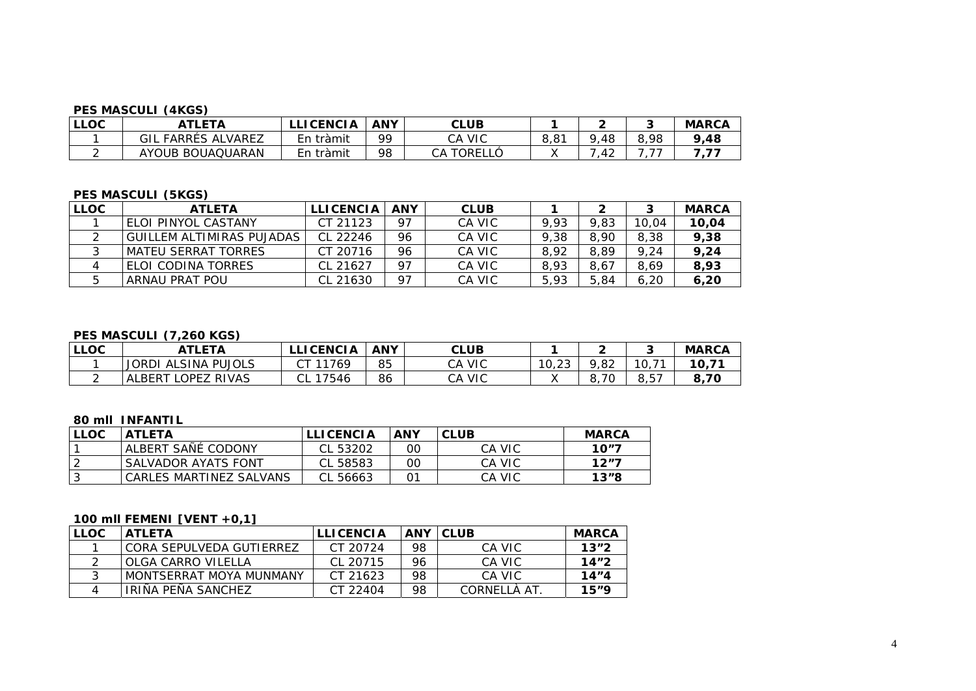#### **PES MASCULI (4KGS)**

| <b>LLOC</b> | <b>\TLETA</b>              | <b>ICENCIA</b> | <b>ANY</b> | CLUB             |      |                     |      | <b>MARCA</b> |
|-------------|----------------------------|----------------|------------|------------------|------|---------------------|------|--------------|
|             | . FARRÉS ALVAREZ<br>GIL    | tràmit<br>En   | QQ         | <b>VIC</b><br>СA | 8,81 | 48                  | 8,98 | 9,48         |
|             | BOUAQUARAN<br><b>AYOUB</b> | . tràmi†<br>En | 98         | TORELL<br>CА     |      | $\sim$<br>4.<br>. . | --   |              |

# **PES MASCULI (5KGS)**

| <b>LLOC</b> | <b>ATLETA</b>               | <b>LLICENCIA</b> | <b>ANY</b> | <b>CLUB</b> |      |      |       | <b>MARCA</b> |
|-------------|-----------------------------|------------------|------------|-------------|------|------|-------|--------------|
|             | l ELOI PINYOL CASTANY       | CT 21123         | 97         | CA VIC      | 9.93 | 9.83 | 10,04 | 10,04        |
|             | GUILLEM ALTIMIRAS PUJADAS I | CL 22246         | 96         | CA VIC      | 9.38 | 8.90 | 8.38  | 9,38         |
|             | I MATEU SERRAT TORRES       | CT 20716         | 96         | CA VIC      | 8.92 | 8.89 | 9,24  | 9,24         |
|             | ELOI CODINA TORRES          | CL 21627         | 97         | CA VIC      | 8.93 | 8.67 | 8.69  | 8,93         |
|             | ARNAU PRAT POU              | CL 21630         | 97         | CA VIC      | 5.93 | 5.84 | 6.20  | 6,20         |

#### **PES MASCULI (7,260 KGS)**

| <b>LLOC</b> | ATLETA                 | <b>LLICENCIA</b> | ANY | <b>CLUB</b>      |       |          |                       | <b>MARCA</b> |
|-------------|------------------------|------------------|-----|------------------|-------|----------|-----------------------|--------------|
|             | JORDI<br>ALSINA PUJOLS | 1769             | 85  | CA VIC           | 10,23 | 9,82     | 71<br>10 <sub>1</sub> | 10,71        |
|             | LOPEZ RIVAS<br>ALBERT  | 17546<br>ـات     | 86  | <b>VIC</b><br>CА |       | 70<br>о. | $Q$ $E7$<br>o , o ,   | 8,70         |

#### **80 mll INFANTIL**

| <b>LLOC</b> | <b>ATLETA</b>           | <b>LLICENCIA</b> | <b>ANY</b> | <b>CLUB</b> | <b>MARCA</b> |
|-------------|-------------------------|------------------|------------|-------------|--------------|
|             | ALBERT SAÑÉ CODONY      | CL 53202         | OC         | CA VIC      | 10"7         |
|             | SALVADOR AYATS FONT     | CL 58583         | OC         | CA VIC      | 12"7         |
|             | CARLES MARTINEZ SALVANS | CL 56663         |            | CA VIC      | 13"8         |

# **100 mll FEMENI [VENT +0,1]**

| <b>LLOC</b> | <b>ATLETA</b>            | <b>LLICENCIA</b> |    | ANY CLUB     | MARCA |
|-------------|--------------------------|------------------|----|--------------|-------|
|             | CORA SEPULVEDA GUTIFRREZ | CT 20724         | 98 | CA VIC       | 13"2  |
|             | OLGA CARRO VILELLA       | CL 20715         | 96 | CA VIC       | 14"2  |
|             | MONTSFRRAT MOYA MUNMANY  | CT 21623         | 98 | CA VIC       | 14''4 |
|             | IRIÑA PEÑA SANCHEZ       | CT 22404         | 98 | CORNELLÀ AT. | 15"9  |